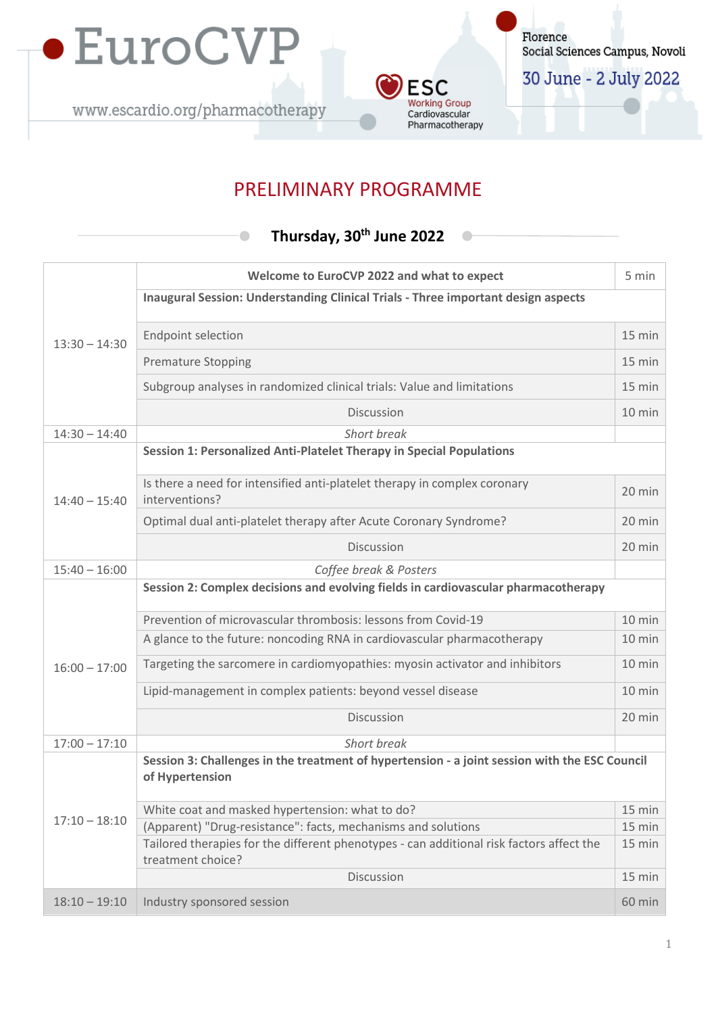

 $\bullet$ 



Florence Social Sciences Campus, Novoli

30 June - 2 July 2022

# PRELIMINARY PROGRAMME

# **Thursday, 30th June 2022**

|                 | Welcome to EuroCVP 2022 and what to expect                                                                       | 5 min            |  |
|-----------------|------------------------------------------------------------------------------------------------------------------|------------------|--|
|                 | Inaugural Session: Understanding Clinical Trials - Three important design aspects                                |                  |  |
|                 |                                                                                                                  |                  |  |
| $13:30 - 14:30$ | <b>Endpoint selection</b>                                                                                        | $15 \text{ min}$ |  |
|                 | <b>Premature Stopping</b>                                                                                        | 15 min           |  |
|                 | Subgroup analyses in randomized clinical trials: Value and limitations                                           | $15 \text{ min}$ |  |
|                 | <b>Discussion</b>                                                                                                | $10$ min         |  |
| $14:30 - 14:40$ | Short break                                                                                                      |                  |  |
| $14:40 - 15:40$ | Session 1: Personalized Anti-Platelet Therapy in Special Populations                                             |                  |  |
|                 | Is there a need for intensified anti-platelet therapy in complex coronary<br>interventions?                      | 20 min           |  |
|                 | Optimal dual anti-platelet therapy after Acute Coronary Syndrome?                                                | 20 min           |  |
|                 | Discussion                                                                                                       | 20 min           |  |
| $15:40 - 16:00$ | Coffee break & Posters                                                                                           |                  |  |
|                 | Session 2: Complex decisions and evolving fields in cardiovascular pharmacotherapy                               |                  |  |
|                 | Prevention of microvascular thrombosis: lessons from Covid-19                                                    | 10 min           |  |
|                 | A glance to the future: noncoding RNA in cardiovascular pharmacotherapy                                          | 10 min           |  |
| $16:00 - 17:00$ | Targeting the sarcomere in cardiomyopathies: myosin activator and inhibitors                                     | 10 min           |  |
|                 | Lipid-management in complex patients: beyond vessel disease                                                      | 10 min           |  |
|                 | Discussion                                                                                                       | 20 min           |  |
| $17:00 - 17:10$ | Short break                                                                                                      |                  |  |
|                 | Session 3: Challenges in the treatment of hypertension - a joint session with the ESC Council<br>of Hypertension |                  |  |
|                 | White coat and masked hypertension: what to do?                                                                  | 15 min           |  |
| $17:10 - 18:10$ | (Apparent) "Drug-resistance": facts, mechanisms and solutions                                                    | 15 min           |  |
|                 | Tailored therapies for the different phenotypes - can additional risk factors affect the<br>treatment choice?    | 15 min           |  |
|                 | Discussion                                                                                                       | 15 min           |  |
| $18:10 - 19:10$ | Industry sponsored session                                                                                       | 60 min           |  |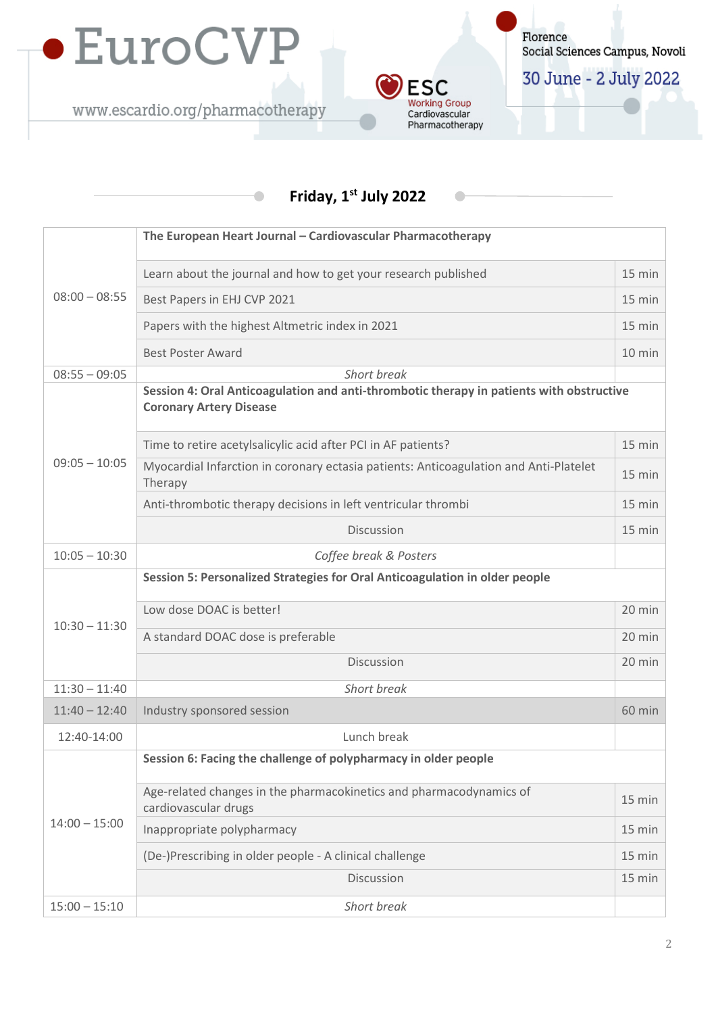

 $\bullet$ 



Florence Social Sciences Campus, Novoli

30 June - 2 July 2022

# **Friday, 1st July 2022**

| $08:00 - 08:55$ | The European Heart Journal - Cardiovascular Pharmacotherapy                                                                |        |  |
|-----------------|----------------------------------------------------------------------------------------------------------------------------|--------|--|
|                 | Learn about the journal and how to get your research published                                                             | 15 min |  |
|                 | Best Papers in EHJ CVP 2021                                                                                                | 15 min |  |
|                 | Papers with the highest Altmetric index in 2021                                                                            | 15 min |  |
|                 | <b>Best Poster Award</b>                                                                                                   | 10 min |  |
| $08:55 - 09:05$ | Short break                                                                                                                |        |  |
| $09:05 - 10:05$ | Session 4: Oral Anticoagulation and anti-thrombotic therapy in patients with obstructive<br><b>Coronary Artery Disease</b> |        |  |
|                 | Time to retire acetylsalicylic acid after PCI in AF patients?                                                              | 15 min |  |
|                 | Myocardial Infarction in coronary ectasia patients: Anticoagulation and Anti-Platelet<br>Therapy                           | 15 min |  |
|                 | Anti-thrombotic therapy decisions in left ventricular thrombi                                                              | 15 min |  |
|                 | Discussion                                                                                                                 | 15 min |  |
| $10:05 - 10:30$ | Coffee break & Posters                                                                                                     |        |  |
|                 | Session 5: Personalized Strategies for Oral Anticoagulation in older people                                                |        |  |
|                 | Low dose DOAC is better!                                                                                                   | 20 min |  |
| $10:30 - 11:30$ | A standard DOAC dose is preferable                                                                                         | 20 min |  |
|                 | Discussion                                                                                                                 | 20 min |  |
| $11:30 - 11:40$ | Short break                                                                                                                |        |  |
| $11:40 - 12:40$ | Industry sponsored session                                                                                                 | 60 min |  |
| 12:40-14:00     | Lunch break                                                                                                                |        |  |
| $14:00 - 15:00$ | Session 6: Facing the challenge of polypharmacy in older people                                                            |        |  |
|                 | Age-related changes in the pharmacokinetics and pharmacodynamics of<br>cardiovascular drugs                                | 15 min |  |
|                 | Inappropriate polypharmacy                                                                                                 | 15 min |  |
|                 | (De-)Prescribing in older people - A clinical challenge                                                                    | 15 min |  |
|                 | Discussion                                                                                                                 | 15 min |  |
| $15:00 - 15:10$ | Short break                                                                                                                |        |  |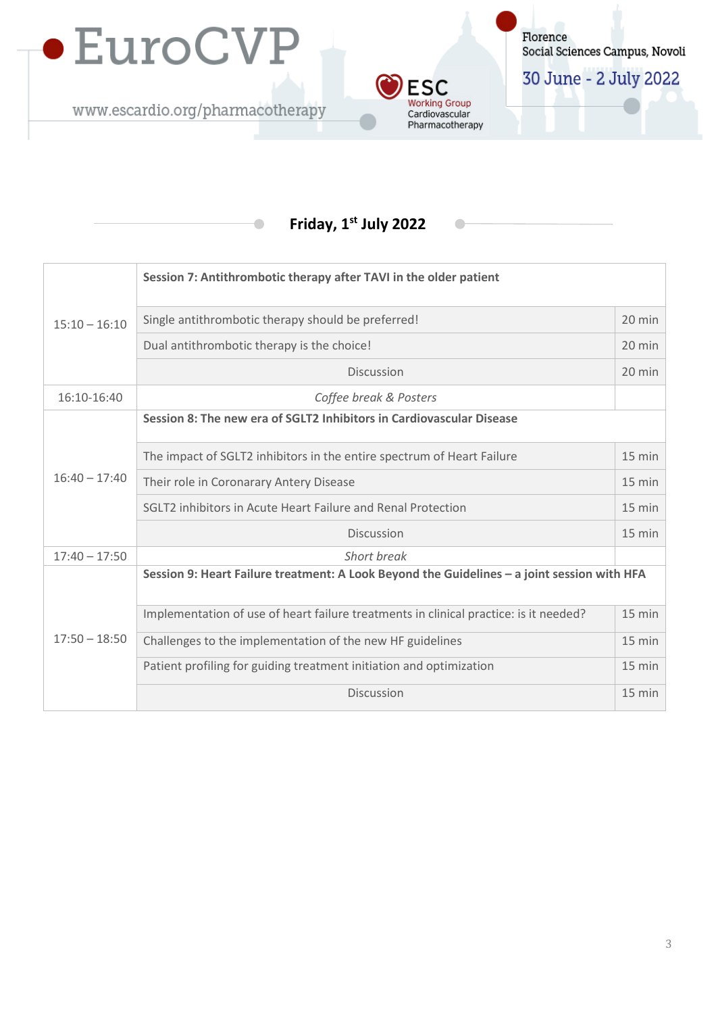

 $\bullet$ 



30 June - 2 July 2022

#### **Friday, 1st July 2022**

**ESC Working Group** 

Cardiovascular Pharmacotherapy

| $15:10 - 16:10$ | Session 7: Antithrombotic therapy after TAVI in the older patient                           |                  |  |
|-----------------|---------------------------------------------------------------------------------------------|------------------|--|
|                 | Single antithrombotic therapy should be preferred!                                          | 20 min           |  |
|                 | Dual antithrombotic therapy is the choice!                                                  | 20 min           |  |
|                 | <b>Discussion</b>                                                                           | 20 min           |  |
| 16:10-16:40     | Coffee break & Posters                                                                      |                  |  |
| $16:40 - 17:40$ | Session 8: The new era of SGLT2 Inhibitors in Cardiovascular Disease                        |                  |  |
|                 | The impact of SGLT2 inhibitors in the entire spectrum of Heart Failure                      | $15 \text{ min}$ |  |
|                 | Their role in Coronarary Antery Disease                                                     | 15 min           |  |
|                 | SGLT2 inhibitors in Acute Heart Failure and Renal Protection                                | 15 min           |  |
|                 | <b>Discussion</b>                                                                           | $15 \text{ min}$ |  |
| $17:40 - 17:50$ | Short break                                                                                 |                  |  |
| $17:50 - 18:50$ | Session 9: Heart Failure treatment: A Look Beyond the Guidelines - a joint session with HFA |                  |  |
|                 | Implementation of use of heart failure treatments in clinical practice: is it needed?       | 15 min           |  |
|                 | Challenges to the implementation of the new HF guidelines                                   | $15 \text{ min}$ |  |
|                 | Patient profiling for guiding treatment initiation and optimization                         | $15 \text{ min}$ |  |
|                 | Discussion                                                                                  | 15 min           |  |